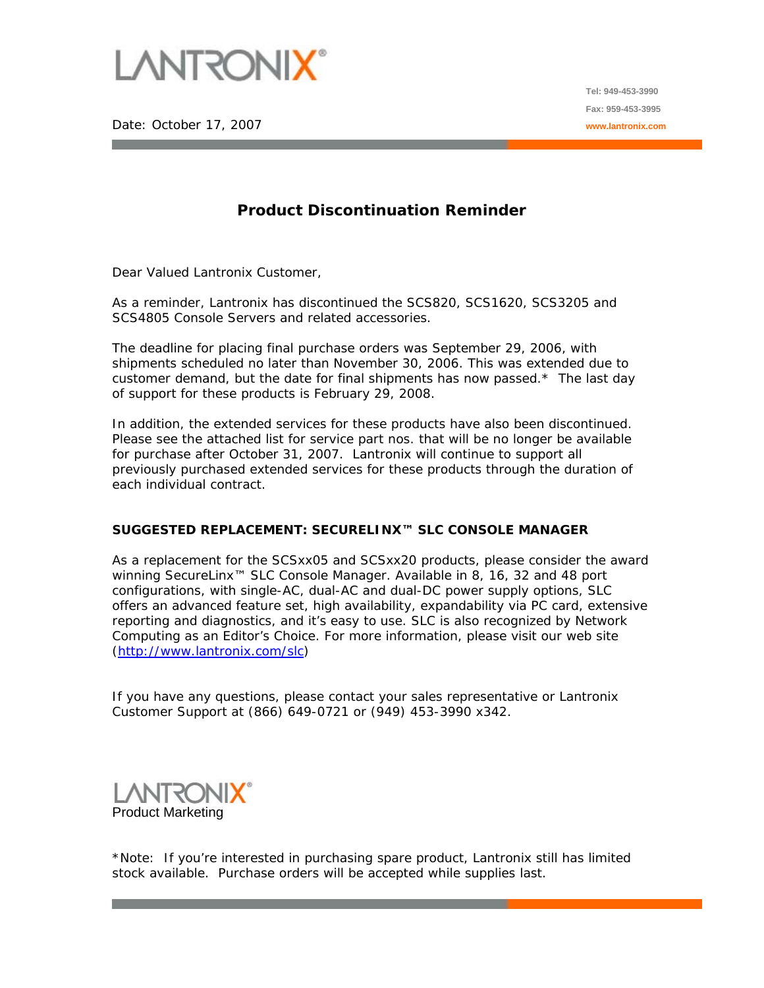

Date: October 17, 2007

## **Product Discontinuation Reminder**

Dear Valued Lantronix Customer,

As a reminder, Lantronix has discontinued the SCS820, SCS1620, SCS3205 and SCS4805 Console Servers and related accessories.

The deadline for placing final purchase orders was September 29, 2006, with shipments scheduled no later than November 30, 2006. This was extended due to customer demand, but the date for final shipments has now passed. $*$  The last day of support for these products is February 29, 2008.

In addition, the extended services for these products have also been discontinued. Please see the attached list for service part nos. that will be no longer be available for purchase after October 31, 2007. Lantronix will continue to support all previously purchased extended services for these products through the duration of each individual contract.

## **SUGGESTED REPLACEMENT: SECURELINX™ SLC CONSOLE MANAGER**

As a replacement for the SCSxx05 and SCSxx20 products, please consider the award winning SecureLinx™ SLC Console Manager. Available in 8, 16, 32 and 48 port configurations, with single-AC, dual-AC and dual-DC power supply options, SLC offers an advanced feature set, high availability, expandability via PC card, extensive reporting and diagnostics, and it's easy to use. SLC is also recognized by Network Computing as an Editor's Choice. For more information, please visit our web site ([http://www.lantronix.com/slc\)](http://www.lantronix.com/slc)

If you have any questions, please contact your sales representative or Lantronix Customer Support at (866) 649-0721 or (949) 453-3990 x342.

Product Marketing

\*Note: If you're interested in purchasing spare product, Lantronix still has limited stock available. Purchase orders will be accepted while supplies last.